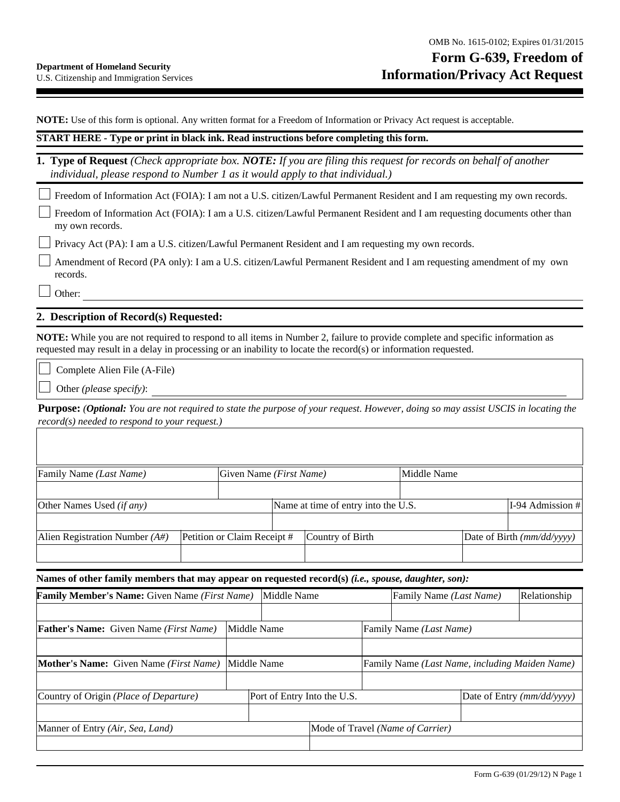**NOTE:** Use of this form is optional. Any written format for a Freedom of Information or Privacy Act request is acceptable.

## **START HERE - Type or print in black ink. Read instructions before completing this form.**

**1. Type of Request** *(Check appropriate box. NOTE: If you are filing this request for records on behalf of another individual, please respond to Number 1 as it would apply to that individual.)* 

Freedom of Information Act (FOIA): I am not a U.S. citizen/Lawful Permanent Resident and I am requesting my own records.

Freedom of Information Act (FOIA): I am a U.S. citizen/Lawful Permanent Resident and I am requesting documents other than my own records.

Privacy Act (PA): I am a U.S. citizen/Lawful Permanent Resident and I am requesting my own records.

Amendment of Record (PA only): I am a U.S. citizen/Lawful Permanent Resident and I am requesting amendment of my own records.

Other:

## **2. Description of Record(s) Requested:**

**NOTE:** While you are not required to respond to all items in Number 2, failure to provide complete and specific information as requested may result in a delay in processing or an inability to locate the record(s) or information requested.

Complete Alien File (A-File)

Other *(please specify)*:

**Purpose:** *(Optional: You are not required to state the purpose of your request. However, doing so may assist USCIS in locating the record(s) needed to respond to your request.)*

| Family Name <i>(Last Name)</i>   |  | Given Name ( <i>First Name</i> ) |                                     | Middle Name      |  |                              |                     |
|----------------------------------|--|----------------------------------|-------------------------------------|------------------|--|------------------------------|---------------------|
|                                  |  |                                  |                                     |                  |  |                              |                     |
| Other Names Used <i>(if any)</i> |  |                                  | Name at time of entry into the U.S. |                  |  |                              | $[I-94$ Admission # |
|                                  |  |                                  |                                     |                  |  |                              |                     |
| Alien Registration Number $(A#)$ |  | Petition or Claim Receipt #      |                                     | Country of Birth |  | Date of Birth $(mm/dd/yyyy)$ |                     |
|                                  |  |                                  |                                     |                  |  |                              |                     |

**Names of other family members that may appear on requested record(s)** *(i.e., spouse, daughter, son):*

| <b>Family Member's Name:</b> Given Name ( <i>First Name</i> )         | Middle Name                      |                             | Family Name ( <i>Last Name</i> ) |  | Relationship                                   |                            |  |
|-----------------------------------------------------------------------|----------------------------------|-----------------------------|----------------------------------|--|------------------------------------------------|----------------------------|--|
|                                                                       |                                  |                             |                                  |  |                                                |                            |  |
| Middle Name<br><b>Father's Name:</b> Given Name <i>(First Name)</i>   |                                  |                             |                                  |  | Family Name (Last Name)                        |                            |  |
|                                                                       |                                  |                             |                                  |  |                                                |                            |  |
| <b>Mother's Name:</b> Given Name ( <i>First Name</i> )<br>Middle Name |                                  |                             |                                  |  | Family Name (Last Name, including Maiden Name) |                            |  |
|                                                                       |                                  |                             |                                  |  |                                                |                            |  |
| Country of Origin (Place of Departure)                                |                                  | Port of Entry Into the U.S. |                                  |  |                                                | Date of Entry (mm/dd/yyyy) |  |
|                                                                       |                                  |                             |                                  |  |                                                |                            |  |
| Manner of Entry (Air, Sea, Land)                                      | Mode of Travel (Name of Carrier) |                             |                                  |  |                                                |                            |  |
|                                                                       |                                  |                             |                                  |  |                                                |                            |  |